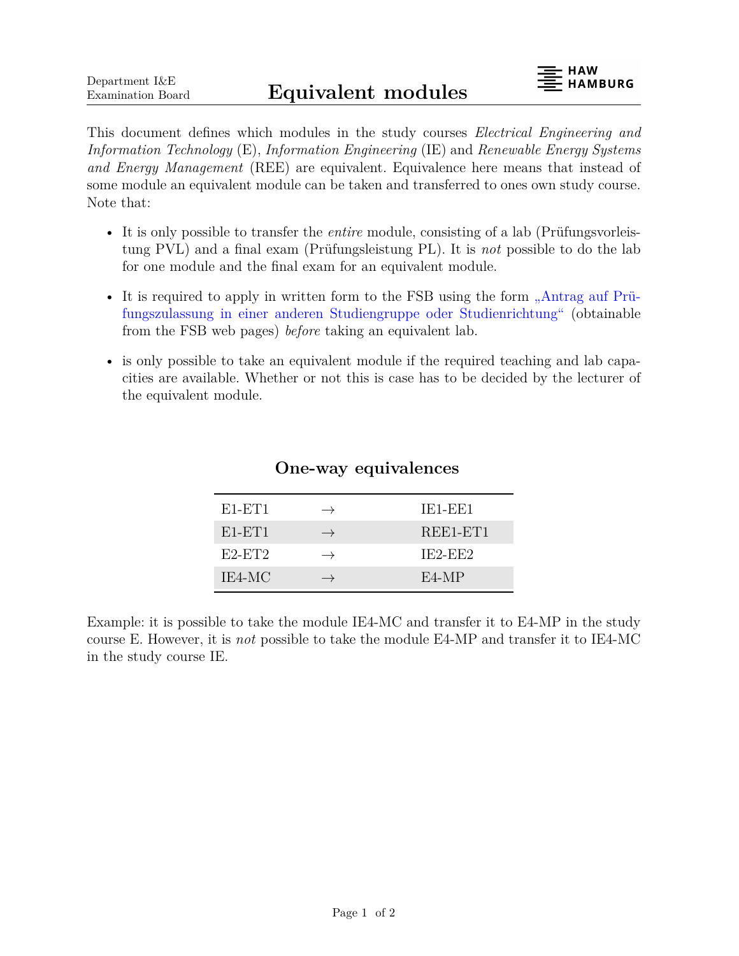This document defines which modules in the study courses *Electrical Engineering and Information Technology* (E), *Information Engineering* (IE) and *Renewable Energy Systems and Energy Management* (REE) are equivalent. Equivalence here means that instead of some module an equivalent module can be taken and transferred to ones own study course. Note that:

- It is only possible to transfer the *entire* module, consisting of a lab (Prüfungsvorleistung PVL) and a final exam (Prüfungsleistung PL). It is *not* possible to do the lab for one module and the final exam for an equivalent module.
- It is required to apply in written form to the FSB using the form ["Antrag auf Prü](https://www.haw-hamburg.de/fileadmin/TI/FSB/IE/A_Antrag_Pruefungswechsel_neues_CD.PDF)[fungszulassung in einer anderen Studiengruppe oder Studienrichtung"](https://www.haw-hamburg.de/fileadmin/TI/FSB/IE/A_Antrag_Pruefungswechsel_neues_CD.PDF) (obtainable from the FSB web pages) *before* taking an equivalent lab.
- is only possible to take an equivalent module if the required teaching and lab capacities are available. Whether or not this is case has to be decided by the lecturer of the equivalent module.

| $E1-FT1$  | $\rightarrow$ | $IE1-EE1$ |
|-----------|---------------|-----------|
| $E1-FT1$  | $\rightarrow$ | REE1-ET1  |
| $E2$ -ET2 | $\rightarrow$ | $IE2-EE2$ |
| IE4-MC    |               | $F_4-MP$  |

## **One-way equivalences**

Example: it is possible to take the module IE4-MC and transfer it to E4-MP in the study course E. However, it is *not* possible to take the module E4-MP and transfer it to IE4-MC in the study course IE.